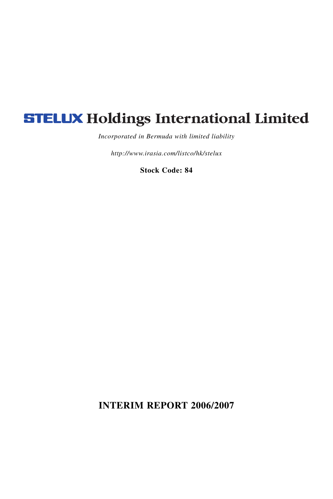# **STELUX Holdings International Limited**

*Incorporated in Bermuda with limited liability*

*http://www.irasia.com/listco/hk/stelux*

**Stock Code: 84**

**INTERIM REPORT 2006/2007**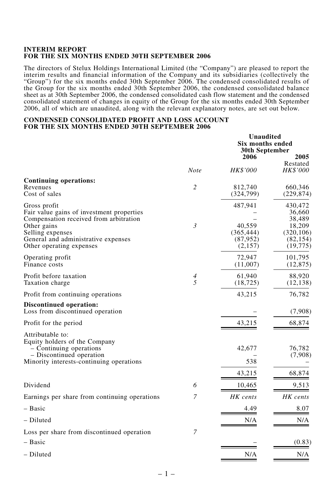#### **INTERIM REPORT FOR THE SIX MONTHS ENDED 30TH SEPTEMBER 2006**

The directors of Stelux Holdings International Limited (the "Company") are pleased to report the interim results and financial information of the Company and its subsidiaries (collectively the "Group") for the six months ended 30th September 2006. The condensed consolidated results of the Group for the six months ended 30th September 2006, the condensed consolidated balance sheet as at 30th September 2006, the condensed consolidated cash flow statement and the condensed consolidated statement of changes in equity of the Group for the six months ended 30th September 2006, all of which are unaudited, along with the relevant explanatory notes, are set out below.

# **CONDENSED CONSOLIDATED PROFIT AND LOSS ACCOUNT FOR THE SIX MONTHS ENDED 30TH SEPTEMBER 2006**

|                                                                                                                                                                                                           |                | Unaudited<br>Six months ended<br>30th September         |                                                                               |
|-----------------------------------------------------------------------------------------------------------------------------------------------------------------------------------------------------------|----------------|---------------------------------------------------------|-------------------------------------------------------------------------------|
|                                                                                                                                                                                                           | Note           | 2006<br>HK\$'000                                        | 2005<br>Restated<br>HK\$'000                                                  |
| Continuing operations:<br>Revenues<br>Cost of sales                                                                                                                                                       | $\overline{2}$ | 812,740<br>(324, 799)                                   | 660,346<br>(229, 874)                                                         |
| Gross profit<br>Fair value gains of investment properties<br>Compensation received from arbitration<br>Other gains<br>Selling expenses<br>General and administrative expenses<br>Other operating expenses | $\mathfrak{Z}$ | 487,941<br>40.559<br>(365, 444)<br>(87, 952)<br>(2,157) | 430,472<br>36,660<br>38,489<br>18,209<br>(320, 106)<br>(82, 154)<br>(19, 775) |
| Operating profit<br>Finance costs                                                                                                                                                                         |                | 72,947<br>(11,007)                                      | 101,795<br>(12, 875)                                                          |
| Profit before taxation<br>Taxation charge                                                                                                                                                                 | 4<br>5         | 61,940<br>(18, 725)                                     | 88,920<br>(12, 138)                                                           |
| Profit from continuing operations                                                                                                                                                                         |                | 43,215                                                  | 76,782                                                                        |
| <b>Discontinued operation:</b><br>Loss from discontinued operation                                                                                                                                        |                |                                                         | (7,908)                                                                       |
| Profit for the period                                                                                                                                                                                     |                | 43,215                                                  | 68,874                                                                        |
| Attributable to:<br>Equity holders of the Company<br>- Continuing operations<br>- Discontinued operation<br>Minority interests-continuing operations                                                      |                | 42,677<br>538                                           | 76,782<br>(7,908)                                                             |
|                                                                                                                                                                                                           |                | 43,215                                                  | 68,874                                                                        |
| Dividend                                                                                                                                                                                                  | 6              | 10,465                                                  | 9,513                                                                         |
| Earnings per share from continuing operations                                                                                                                                                             | 7              | HK cents                                                | HK cents                                                                      |
| – Basic                                                                                                                                                                                                   |                | 4.49                                                    | 8.07                                                                          |
| – Diluted                                                                                                                                                                                                 |                | N/A                                                     | N/A                                                                           |
| Loss per share from discontinued operation                                                                                                                                                                | 7              |                                                         |                                                                               |
| - Basic                                                                                                                                                                                                   |                |                                                         | (0.83)                                                                        |
| – Diluted                                                                                                                                                                                                 |                | N/A                                                     | N/A                                                                           |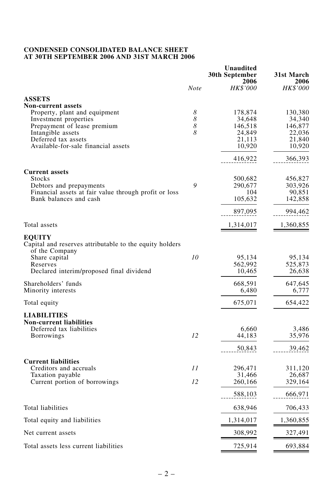#### **CONDENSED CONSOLIDATED BALANCE SHEET AT 30TH SEPTEMBER 2006 AND 31ST MARCH 2006**

|                                                            |      | Unaudited<br>30th September<br>2006 | 31st March<br>2006 |
|------------------------------------------------------------|------|-------------------------------------|--------------------|
|                                                            | Note | HK\$'000                            | <b>HK\$'000</b>    |
| <b>ASSETS</b>                                              |      |                                     |                    |
| <b>Non-current assets</b>                                  |      |                                     |                    |
| Property, plant and equipment                              | 8    | 178,874                             | 130,380            |
| Investment properties                                      | 8    | 34.648                              | 34,340             |
| Prepayment of lease premium                                | 8    | 146,518                             | 146,877            |
| Intangible assets                                          | 8    | 24,849                              | 22,036             |
| Deferred tax assets<br>Available-for-sale financial assets |      | 21,113                              | 21,840             |
|                                                            |      | 10,920                              | 10,920             |
|                                                            |      | 416,922                             | 366,393            |
| <b>Current assets</b>                                      |      |                                     |                    |
| <b>Stocks</b>                                              |      | 500,682                             | 456,827            |
| Debtors and prepayments                                    | 9    | 290,677                             | 303,926            |
| Financial assets at fair value through profit or loss      |      | 104                                 | 90,851             |
| Bank balances and cash                                     |      | 105,632                             | 142,858            |
|                                                            |      | 897,095                             | 994,462            |
| Total assets                                               |      | 1,314,017                           | 1,360,855          |
| <b>EOUITY</b>                                              |      |                                     |                    |
| Capital and reserves attributable to the equity holders    |      |                                     |                    |
| of the Company                                             |      |                                     |                    |
| Share capital                                              | 10   | 95,134                              | 95,134             |
| Reserves                                                   |      | 562,992                             | 525,873            |
| Declared interim/proposed final dividend                   |      | 10,465                              | 26,638             |
| Shareholders' funds                                        |      | 668,591                             | 647,645            |
| Minority interests                                         |      | 6,480                               | 6,777              |
|                                                            |      |                                     |                    |
| Total equity                                               |      | 675,071                             | 654,422            |
| <b>LIABILITIES</b>                                         |      |                                     |                    |
| <b>Non-current liabilities</b>                             |      |                                     |                    |
| Deferred tax liabilities                                   | 12   | 6,660<br>44,183                     | 3,486<br>35,976    |
| <b>Borrowings</b>                                          |      |                                     |                    |
|                                                            |      | 50,843                              | 39,462             |
| <b>Current liabilities</b>                                 |      |                                     |                    |
| Creditors and accruals                                     | 11   | 296,471                             | 311,120            |
| Taxation payable                                           |      | 31,466                              | 26,687             |
| Current portion of borrowings                              | 12   | 260,166                             | 329,164            |
|                                                            |      | 588,103                             | 666,971            |
| Total liabilities                                          |      | 638,946                             | 706,433            |
| Total equity and liabilities                               |      | 1,314,017                           | 1,360,855          |
| Net current assets                                         |      | 308,992                             | 327,491            |
| Total assets less current liabilities                      |      | 725,914                             | 693,884            |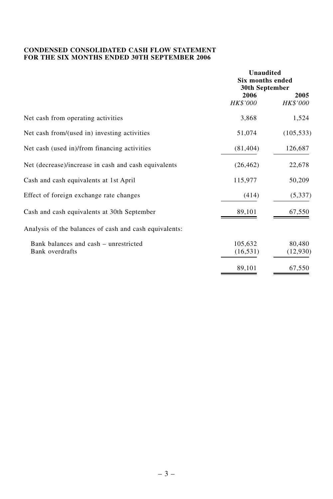# **CONDENSED CONSOLIDATED CASH FLOW STATEMENT FOR THE SIX MONTHS ENDED 30TH SEPTEMBER 2006**

|                                                          | <b>Unaudited</b><br><b>Six months ended</b><br>30th September |                    |  |
|----------------------------------------------------------|---------------------------------------------------------------|--------------------|--|
|                                                          | 2006<br>HK\$'000                                              | 2005<br>HK\$'000   |  |
| Net cash from operating activities                       | 3,868                                                         | 1,524              |  |
| Net cash from/(used in) investing activities             | 51,074                                                        | (105, 533)         |  |
| Net cash (used in)/from financing activities             | (81, 404)                                                     | 126,687            |  |
| Net (decrease)/increase in cash and cash equivalents     | (26, 462)                                                     | 22,678             |  |
| Cash and cash equivalents at 1st April                   | 115,977                                                       | 50,209             |  |
| Effect of foreign exchange rate changes                  | (414)                                                         | (5, 337)           |  |
| Cash and cash equivalents at 30th September              | 89,101                                                        | 67,550             |  |
| Analysis of the balances of cash and cash equivalents:   |                                                               |                    |  |
| Bank balances and cash – unrestricted<br>Bank overdrafts | 105,632<br>(16, 531)                                          | 80,480<br>(12,930) |  |
|                                                          | 89,101                                                        | 67,550             |  |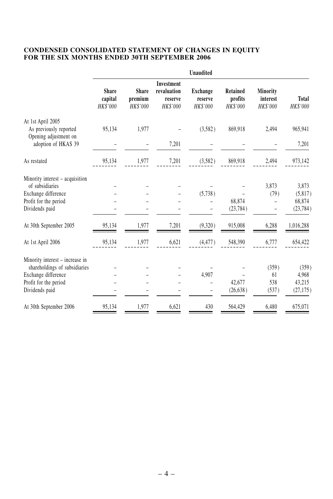# **CONDENSED CONSOLIDATED STATEMENT OF CHANGES IN EQUITY FOR THE SIX MONTHS ENDED 30TH SEPTEMBER 2006**

|                                              | Unaudited                           |                                     |                                                  |                                        |                                 |                                  |                   |
|----------------------------------------------|-------------------------------------|-------------------------------------|--------------------------------------------------|----------------------------------------|---------------------------------|----------------------------------|-------------------|
|                                              | <b>Share</b><br>capital<br>HK\$'000 | <b>Share</b><br>premium<br>HK\$'000 | Investment<br>revaluation<br>reserve<br>HK\$'000 | <b>Exchange</b><br>reserve<br>HK\$'000 | Retained<br>profits<br>HK\$'000 | Minority<br>interest<br>HK\$'000 | Total<br>HK\$'000 |
| At 1st April 2005                            |                                     |                                     |                                                  |                                        |                                 |                                  |                   |
| As previously reported                       | 95,134                              | 1,977                               |                                                  | (3,582)                                | 869,918                         | 2,494                            | 965,941           |
| Opening adjustment on<br>adoption of HKAS 39 |                                     |                                     | 7,201                                            |                                        |                                 |                                  | 7,201             |
| As restated                                  | 95,134                              | 1,977                               | 7,201                                            | (3,582)                                | 869,918                         | 2,494                            | 973,142           |
| Minority interest – acquisition              |                                     |                                     |                                                  |                                        |                                 |                                  |                   |
| of subsidiaries                              |                                     |                                     |                                                  |                                        |                                 | 3,873                            | 3,873             |
| Exchange difference                          |                                     |                                     |                                                  | (5,738)                                |                                 | (79)                             | (5,817)           |
| Profit for the period                        |                                     |                                     |                                                  |                                        | 68,874                          |                                  | 68,874            |
| Dividends paid                               |                                     |                                     |                                                  |                                        | (23, 784)                       |                                  | (23, 784)         |
| At 30th September 2005                       | 95,134                              | 1,977                               | 7,201                                            | (9,320)                                | 915,008                         | 6,288                            | 1,016,288         |
| At 1st April 2006                            | 95,134                              | 1,977                               | 6,621                                            | (4, 477)                               | 548,390                         | 6,777                            | 654,422           |
| Minority interest - increase in              |                                     |                                     |                                                  |                                        |                                 |                                  |                   |
| shareholdings of subsidiaries                |                                     |                                     |                                                  |                                        |                                 | (359)                            | (359)             |
| Exchange difference                          |                                     |                                     |                                                  | 4,907                                  |                                 | 61                               | 4,968             |
| Profit for the period                        |                                     |                                     |                                                  |                                        | 42,677                          | 538                              | 43,215            |
| Dividends paid                               |                                     |                                     |                                                  |                                        | (26, 638)                       | (537)                            | (27, 175)         |
| At 30th September 2006                       | 95,134                              | 1,977                               | 6,621                                            | 430                                    | 564,429                         | 6,480                            | 675,071           |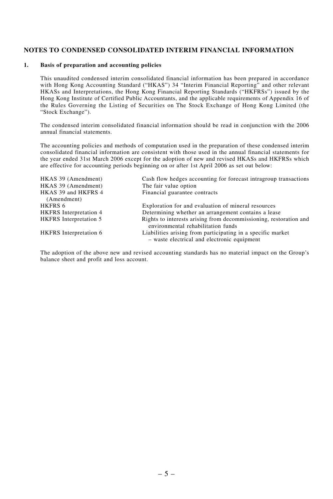### **NOTES TO CONDENSED CONSOLIDATED INTERIM FINANCIAL INFORMATION**

#### **1. Basis of preparation and accounting policies**

This unaudited condensed interim consolidated financial information has been prepared in accordance with Hong Kong Accounting Standard ("HKAS") 34 "Interim Financial Reporting" and other relevant HKASs and Interpretations, the Hong Kong Financial Reporting Standards ("HKFRSs") issued by the Hong Kong Institute of Certified Public Accountants, and the applicable requirements of Appendix 16 of the Rules Governing the Listing of Securities on The Stock Exchange of Hong Kong Limited (the "Stock Exchange").

The condensed interim consolidated financial information should be read in conjunction with the 2006 annual financial statements.

The accounting policies and methods of computation used in the preparation of these condensed interim consolidated financial information are consistent with those used in the annual financial statements for the year ended 31st March 2006 except for the adoption of new and revised HKASs and HKFRSs which are effective for accounting periods beginning on or after 1st April 2006 as set out below:

| HKAS 39 (Amendment)           | Cash flow hedges accounting for forecast intragroup transactions                                           |
|-------------------------------|------------------------------------------------------------------------------------------------------------|
| HKAS 39 (Amendment)           | The fair value option                                                                                      |
| HKAS 39 and HKFRS 4           | Financial guarantee contracts                                                                              |
| (Amendment)                   |                                                                                                            |
| HKFRS 6                       | Exploration for and evaluation of mineral resources                                                        |
| <b>HKFRS</b> Interpretation 4 | Determining whether an arrangement contains a lease                                                        |
| <b>HKFRS</b> Interpretation 5 | Rights to interests arising from decommissioning, restoration and<br>environmental rehabilitation funds    |
| <b>HKFRS</b> Interpretation 6 | Liabilities arising from participating in a specific market<br>- waste electrical and electronic equipment |

The adoption of the above new and revised accounting standards has no material impact on the Group's balance sheet and profit and loss account.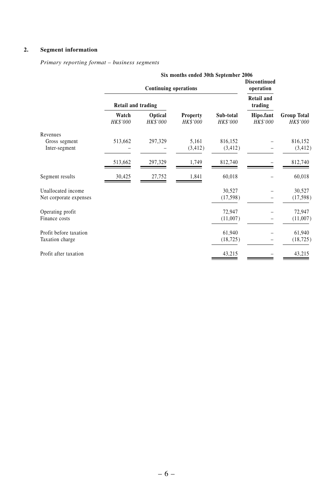# **2. Segment information**

*Primary reporting format – business segments*

|                        | Six months ended 30th September 2006 |                     |                             |                                  |                              |                       |                                |
|------------------------|--------------------------------------|---------------------|-----------------------------|----------------------------------|------------------------------|-----------------------|--------------------------------|
|                        | <b>Continuing operations</b>         |                     |                             | <b>Discontinued</b><br>operation |                              |                       |                                |
|                        | Retail and trading                   |                     |                             |                                  | <b>Retail and</b><br>trading |                       |                                |
|                        | Watch<br><b>HK\$'000</b>             | Optical<br>HK\$'000 | <b>Property</b><br>HK\$'000 | Sub-total<br><b>HK\$'000</b>     |                              | Hipo.fant<br>HK\$'000 | <b>Group Total</b><br>HK\$'000 |
| Revenues               |                                      |                     |                             |                                  |                              |                       |                                |
| Gross segment          | 513,662                              | 297,329             | 5,161                       | 816,152                          |                              | 816,152               |                                |
| Inter-segment          |                                      |                     | (3, 412)                    | (3, 412)                         |                              | (3, 412)              |                                |
|                        | 513,662                              | 297,329             | 1,749                       | 812,740                          |                              | 812,740               |                                |
| Segment results        | 30,425                               | 27,752              | 1,841                       | 60,018                           |                              | 60,018                |                                |
| Unallocated income     |                                      |                     |                             | 30,527                           |                              | 30,527                |                                |
| Net corporate expenses |                                      |                     |                             | (17, 598)                        |                              | (17, 598)             |                                |
| Operating profit       |                                      |                     |                             | 72,947                           |                              | 72,947                |                                |
| Finance costs          |                                      |                     |                             | (11,007)                         |                              | (11,007)              |                                |
| Profit before taxation |                                      |                     |                             | 61,940                           |                              | 61,940                |                                |
| Taxation charge        |                                      |                     |                             | (18, 725)                        |                              | (18, 725)             |                                |
| Profit after taxation  |                                      |                     |                             | 43,215                           |                              | 43,215                |                                |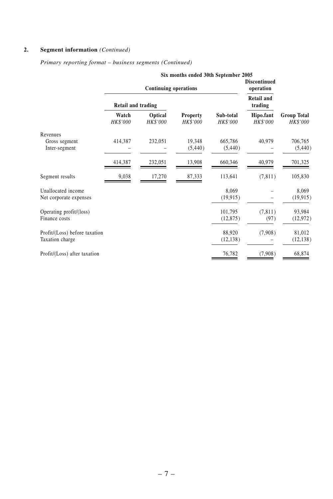# **2. Segment information** *(Continued)*

#### *Primary reporting format – business segments (Continued)*

|                               | Six months ended 30th September 2005 |                              |                             |                              |                                  |                                       |
|-------------------------------|--------------------------------------|------------------------------|-----------------------------|------------------------------|----------------------------------|---------------------------------------|
|                               |                                      | <b>Continuing operations</b> |                             |                              | <b>Discontinued</b><br>operation |                                       |
|                               | Retail and trading                   |                              |                             |                              | <b>Retail and</b><br>trading     |                                       |
|                               | Watch<br>HK\$'000                    | Optical<br><b>HK\$'000</b>   | <b>Property</b><br>HK\$'000 | Sub-total<br><b>HK\$'000</b> | Hipo.fant<br><b>HK\$'000</b>     | <b>Group Total</b><br><b>HK\$'000</b> |
| Revenues                      |                                      |                              |                             |                              |                                  |                                       |
| Gross segment                 | 414,387                              | 232,051                      | 19,348                      | 665,786                      | 40,979                           | 706,765                               |
| Inter-segment                 |                                      |                              | (5, 440)                    | (5, 440)                     |                                  | (5, 440)                              |
|                               | 414,387                              | 232,051                      | 13,908                      | 660,346                      | 40,979                           | 701,325                               |
| Segment results               | 9,038                                | 17,270                       | 87,333                      | 113,641                      | (7, 811)                         | 105,830                               |
| Unallocated income            |                                      |                              |                             | 8,069                        |                                  | 8,069                                 |
| Net corporate expenses        |                                      |                              |                             | (19, 915)                    |                                  | (19, 915)                             |
| Operating profit/(loss)       |                                      |                              |                             | 101,795                      | (7, 811)                         | 93,984                                |
| Finance costs                 |                                      |                              |                             | (12, 875)                    | (97)                             | (12, 972)                             |
| Profit/(Loss) before taxation |                                      |                              |                             | 88,920                       | (7,908)                          | 81,012                                |
| Taxation charge               |                                      |                              |                             | (12, 138)                    |                                  | (12, 138)                             |
| Profit/(Loss) after taxation  |                                      |                              |                             | 76,782                       | (7,908)                          | 68,874                                |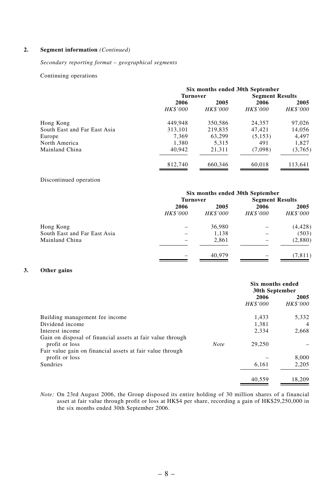#### **2. Segment information** *(Continued)*

#### *Secondary reporting format – geographical segments*

#### Continuing operations

|                              | Six months ended 30th September |                 |                        |                 |  |
|------------------------------|---------------------------------|-----------------|------------------------|-----------------|--|
|                              | Turnover                        |                 | <b>Segment Results</b> |                 |  |
|                              | 2006                            | 2005            | 2006                   | 2005            |  |
|                              | <b>HK\$'000</b>                 | <b>HK\$'000</b> | <b>HK\$'000</b>        | <b>HK\$'000</b> |  |
| Hong Kong                    | 449,948                         | 350,586         | 24,357                 | 97,026          |  |
| South East and Far East Asia | 313,101                         | 219,835         | 47.421                 | 14,056          |  |
| Europe                       | 7.369                           | 63.299          | (5, 153)               | 4.497           |  |
| North America                | 1.380                           | 5.315           | 491                    | 1.827           |  |
| Mainland China               | 40,942                          | 21.311          | (7,098)                | (3,765)         |  |
|                              | 812,740                         | 660,346         | 60,018                 | 113,641         |  |

#### Discontinued operation

|                              | Six months ended 30th September |                 |                        |                 |
|------------------------------|---------------------------------|-----------------|------------------------|-----------------|
|                              | <b>Turnover</b>                 |                 | <b>Segment Results</b> |                 |
|                              | 2006                            | 2005            | 2006                   | 2005            |
|                              | <b>HK\$'000</b>                 | <b>HK\$'000</b> | <b>HK\$'000</b>        | <b>HK\$'000</b> |
| Hong Kong                    |                                 | 36,980          |                        | (4, 428)        |
| South East and Far East Asia |                                 | 1.138           |                        | (503)           |
| Mainland China               |                                 | 2,861           |                        | (2,880)         |
|                              |                                 | 40,979          |                        | (7, 811)        |

#### **3. Other gains**

|                                                            |             | Six months ended<br>30th September |                 |
|------------------------------------------------------------|-------------|------------------------------------|-----------------|
|                                                            |             | 2006                               | 2005            |
|                                                            |             | <b>HK\$'000</b>                    | <b>HK\$'000</b> |
| Building management fee income                             |             | 1.433                              | 5,332           |
| Dividend income                                            |             | 1.381                              | $\overline{4}$  |
| Interest income                                            |             | 2.334                              | 2.668           |
| Gain on disposal of financial assets at fair value through |             |                                    |                 |
| profit or loss                                             | <b>Note</b> | 29,250                             |                 |
| Fair value gain on financial assets at fair value through  |             |                                    |                 |
| profit or loss                                             |             |                                    | 8,000           |
| <b>Sundries</b>                                            |             | 6,161                              | 2.205           |
|                                                            |             | 40.559                             | 18,209          |

*Note:* On 23rd August 2006, the Group disposed its entire holding of 30 million shares of a financial asset at fair value through profit or loss at HK\$4 per share, recording a gain of HK\$29,250,000 in the six months ended 30th September 2006.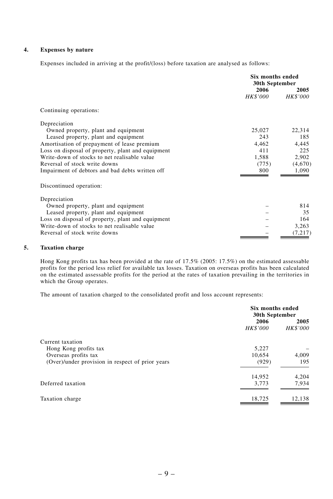# **4. Expenses by nature**

Expenses included in arriving at the profit/(loss) before taxation are analysed as follows:

|                                                   | <b>Six months ended</b><br>30th September |                 |  |
|---------------------------------------------------|-------------------------------------------|-----------------|--|
|                                                   | 2006                                      | 2005            |  |
|                                                   | <i>HK\$'000</i>                           | <b>HK\$'000</b> |  |
| Continuing operations:                            |                                           |                 |  |
| Depreciation                                      |                                           |                 |  |
| Owned property, plant and equipment               | 25,027                                    | 22,314          |  |
| Leased property, plant and equipment              | 243                                       | 185             |  |
| Amortisation of prepayment of lease premium       | 4.462                                     | 4,445           |  |
| Loss on disposal of property, plant and equipment | 411                                       | 225             |  |
| Write-down of stocks to net realisable value      | 1,588                                     | 2,902           |  |
| Reversal of stock write downs                     | (775)                                     | (4,670)         |  |
| Impairment of debtors and bad debts written off   | 800                                       | 1,090           |  |
| Discontinued operation:                           |                                           |                 |  |
| Depreciation                                      |                                           |                 |  |
| Owned property, plant and equipment               |                                           | 814             |  |
| Leased property, plant and equipment              |                                           | 35              |  |
| Loss on disposal of property, plant and equipment |                                           | 164             |  |
| Write-down of stocks to net realisable value      |                                           | 3,263           |  |
| Reversal of stock write downs                     |                                           | (7, 217)        |  |
|                                                   |                                           |                 |  |

#### **5. Taxation charge**

Hong Kong profits tax has been provided at the rate of 17.5% (2005: 17.5%) on the estimated assessable profits for the period less relief for available tax losses. Taxation on overseas profits has been calculated on the estimated assessable profits for the period at the rates of taxation prevailing in the territories in which the Group operates.

The amount of taxation charged to the consolidated profit and loss account represents:

|                                                  | Six months ended<br>30th September |                         |  |
|--------------------------------------------------|------------------------------------|-------------------------|--|
|                                                  | 2006<br><b>HK\$'000</b>            | 2005<br><b>HK\$'000</b> |  |
| Current taxation                                 |                                    |                         |  |
| Hong Kong profits tax                            | 5,227                              |                         |  |
| Overseas profits tax                             | 10.654                             | 4,009                   |  |
| (Over)/under provision in respect of prior years | (929)                              | 195                     |  |
|                                                  | 14,952                             | 4,204                   |  |
| Deferred taxation                                | 3,773                              | 7,934                   |  |
| Taxation charge                                  | 18,725                             | 12,138                  |  |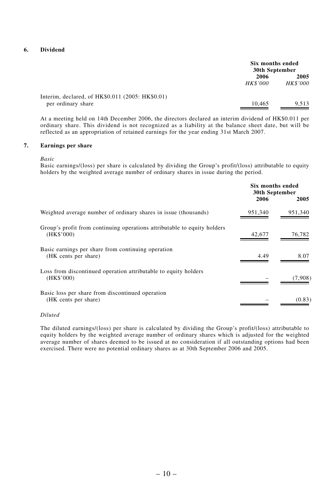# **6. Dividend**

|                                                  | Six months ended<br>30th September |                 |
|--------------------------------------------------|------------------------------------|-----------------|
|                                                  | 2006                               | 2005            |
|                                                  | <b>HK\$'000</b>                    | <b>HK\$'000</b> |
| Interim, declared, of HK\$0.011 (2005: HK\$0.01) |                                    |                 |
| per ordinary share                               | 10.465                             | 9.513           |

At a meeting held on 14th December 2006, the directors declared an interim dividend of HK\$0.011 per ordinary share. This dividend is not recognized as a liability at the balance sheet date, but will be reflected as an appropriation of retained earnings for the year ending 31st March 2007.

# **7. Earnings per share**

*Basic*

Basic earnings/(loss) per share is calculated by dividing the Group's profit/(loss) attributable to equity holders by the weighted average number of ordinary shares in issue during the period.

|                                                                                        | Six months ended<br>30th September<br>2006<br>2005 |         |
|----------------------------------------------------------------------------------------|----------------------------------------------------|---------|
| Weighted average number of ordinary shares in issue (thousands)                        | 951,340                                            | 951,340 |
| Group's profit from continuing operations attributable to equity holders<br>(HK\$'000) | 42,677                                             | 76,782  |
| Basic earnings per share from continuing operation<br>(HK cents per share)             | 4.49                                               | 8.07    |
| Loss from discontinued operation attributable to equity holders<br>(HK\$'000)          |                                                    | (7,908) |
| Basic loss per share from discontinued operation<br>(HK cents per share)               |                                                    | (0.83)  |

#### *Diluted*

The diluted earnings/(loss) per share is calculated by dividing the Group's profit/(loss) attributable to equity holders by the weighted average number of ordinary shares which is adjusted for the weighted average number of shares deemed to be issued at no consideration if all outstanding options had been exercised. There were no potential ordinary shares as at 30th September 2006 and 2005.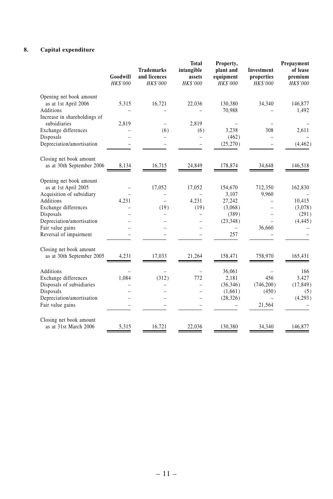# **8. Capital expenditure**

|                                                   | Goodwill<br>HK\$'000 | <b>Trademarks</b><br>and licences<br><b>HK\$'000</b> | <b>Total</b><br>intangible<br>assets<br>HK\$'000 | Property,<br>plant and<br>equipment<br>HK\$'000 | Investment<br>properties<br><b>HK\$'000</b> | Prepayment<br>of lease<br>premium<br>HK\$'000 |
|---------------------------------------------------|----------------------|------------------------------------------------------|--------------------------------------------------|-------------------------------------------------|---------------------------------------------|-----------------------------------------------|
| Opening net book amount<br>as at 1st April 2006   | 5,315                | 16,721                                               | 22,036                                           | 130,380                                         | 34,340                                      | 146,877                                       |
| <b>Additions</b>                                  |                      |                                                      |                                                  | 70,988                                          |                                             | 1,492                                         |
| Increase in shareholdings of                      |                      |                                                      |                                                  |                                                 |                                             |                                               |
| subsidiaries                                      | 2,819                |                                                      | 2.819                                            |                                                 |                                             |                                               |
| Exchange differences                              |                      | (6)                                                  | (6)                                              | 3,238                                           | 308                                         | 2,611                                         |
| Disposals                                         |                      |                                                      |                                                  | (462)                                           |                                             |                                               |
| Depreciation/amortisation                         |                      |                                                      |                                                  | (25,270)                                        |                                             | (4, 462)                                      |
| Closing net book amount                           |                      |                                                      |                                                  |                                                 |                                             |                                               |
| as at 30th September 2006                         | 8,134                | 16,715                                               | 24,849                                           | 178,874                                         | 34,648                                      | 146,518                                       |
| Opening net book amount                           |                      |                                                      |                                                  |                                                 |                                             |                                               |
| as at 1st April 2005                              |                      | 17,052                                               | 17,052                                           | 154,670                                         | 712,350                                     | 162,830                                       |
| Acquisition of subsidiary                         |                      |                                                      |                                                  | 3,107                                           | 9,960                                       |                                               |
| <b>Additions</b>                                  | 4,231                |                                                      | 4,231                                            | 27,242                                          |                                             | 10,415                                        |
| Exchange differences                              |                      | (19)                                                 | (19)                                             | (3,068)                                         |                                             | (3,078)                                       |
| Disposals                                         |                      |                                                      | ۳                                                | (389)                                           |                                             | (291)                                         |
| Depreciation/amortisation                         |                      |                                                      |                                                  | (23, 348)                                       |                                             | (4, 445)                                      |
| Fair value gains                                  |                      |                                                      |                                                  |                                                 | 36,660                                      |                                               |
| Reversal of impairment                            |                      |                                                      |                                                  | 257                                             |                                             |                                               |
| Closing net book amount                           |                      |                                                      |                                                  |                                                 |                                             |                                               |
| as at 30th September 2005                         | 4,231                | 17,033                                               | 21,264                                           | 158,471                                         | 758,970                                     | 165,431                                       |
|                                                   |                      |                                                      |                                                  |                                                 |                                             |                                               |
| Additions                                         | 1,084                | (312)                                                | 772                                              | 36,061                                          | 456                                         | 166<br>3,427                                  |
| Exchange differences<br>Disposals of subsidiaries |                      |                                                      |                                                  | 2,181<br>(36, 346)                              | (746, 200)                                  | (17, 849)                                     |
| Disposals                                         |                      |                                                      |                                                  | (1,661)                                         | (450)                                       | (5)                                           |
| Depreciation/amortisation                         |                      |                                                      |                                                  | (28, 326)                                       |                                             | (4,293)                                       |
| Fair value gains                                  |                      |                                                      |                                                  |                                                 | 21,564                                      |                                               |
|                                                   |                      |                                                      |                                                  |                                                 |                                             |                                               |
| Closing net book amount                           |                      |                                                      |                                                  |                                                 |                                             |                                               |
| as at 31st March 2006                             | 5,315                | 16,721                                               | 22,036                                           | 130,380                                         | 34,340                                      | 146,877                                       |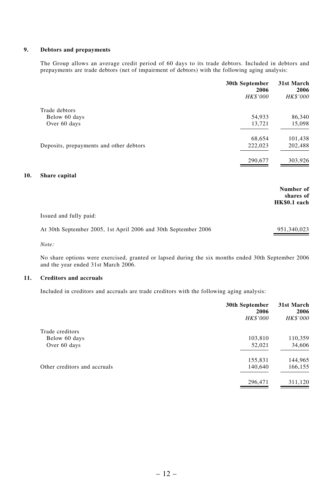#### **9. Debtors and prepayments**

The Group allows an average credit period of 60 days to its trade debtors. Included in debtors and prepayments are trade debtors (net of impairment of debtors) with the following aging analysis:

|                                                                | 30th September<br>2006 | 31st March<br>2006                     |
|----------------------------------------------------------------|------------------------|----------------------------------------|
|                                                                | HK\$'000               | <b>HK\$'000</b>                        |
| Trade debtors                                                  |                        |                                        |
| Below 60 days                                                  | 54,933                 | 86,340                                 |
| Over 60 days                                                   | 13,721                 | 15,098                                 |
|                                                                | 68,654                 | 101,438                                |
| Deposits, prepayments and other debtors                        | 222,023                | 202,488                                |
|                                                                | 290,677                | 303,926                                |
| Share capital                                                  |                        |                                        |
|                                                                |                        | Number of<br>shares of<br>HK\$0.1 each |
| Issued and fully paid:                                         |                        |                                        |
| At 30th September 2005, 1st April 2006 and 30th September 2006 |                        | 951,340,023                            |

*Note:*

**10.** 

No share options were exercised, granted or lapsed during the six months ended 30th September 2006 and the year ended 31st March 2006.

#### **11. Creditors and accruals**

Included in creditors and accruals are trade creditors with the following aging analysis:

|                              | 30th September<br>2006 | 31st March<br>2006 |
|------------------------------|------------------------|--------------------|
|                              | HK\$'000               | HK\$'000           |
| Trade creditors              |                        |                    |
| Below 60 days                | 103,810                | 110,359            |
| Over 60 days                 | 52,021                 | 34,606             |
|                              | 155,831                | 144,965            |
| Other creditors and accruals | 140,640                | 166,155            |
|                              | 296,471                | 311,120            |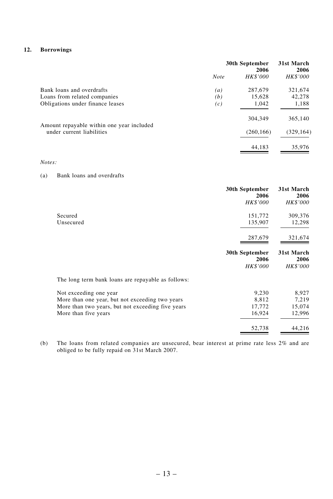#### **12. Borrowings**

| 30th September   |                 | 31st March<br>2006 |  |
|------------------|-----------------|--------------------|--|
| <b>Note</b>      | <b>HK\$'000</b> | <b>HK\$'000</b>    |  |
| $\left(a\right)$ | 287,679         | 321,674            |  |
| (b)              | 15,628          | 42,278             |  |
| (c)              | 1,042           | 1,188              |  |
|                  | 304,349         | 365,140            |  |
|                  | (260, 166)      | (329, 164)         |  |
|                  | 44.183          | 35,976             |  |
|                  |                 | 2006               |  |

*Notes:*

# (a) Bank loans and overdrafts

|           | 30th September<br>2006<br><b>HK\$'000</b> | 31st March<br>2006<br><b>HK\$'000</b> |
|-----------|-------------------------------------------|---------------------------------------|
| Secured   | 151,772                                   | 309,376                               |
| Unsecured | 135,907                                   | 12,298                                |
|           | 287,679                                   | 321,674                               |

|                                                    | 30th September<br>2006<br><b>HK\$'000</b> | 31st March<br>2006<br><b>HK\$'000</b> |
|----------------------------------------------------|-------------------------------------------|---------------------------------------|
| The long term bank loans are repayable as follows: |                                           |                                       |
| Not exceeding one year                             | 9.230                                     | 8.927                                 |
| More than one year, but not exceeding two years    | 8.812                                     | 7.219                                 |
| More than two years, but not exceeding five years  | 17,772                                    | 15,074                                |
| More than five years                               | 16,924                                    | 12,996                                |
|                                                    | 52,738                                    | 44,216                                |

(b) The loans from related companies are unsecured, bear interest at prime rate less 2% and are obliged to be fully repaid on 31st March 2007.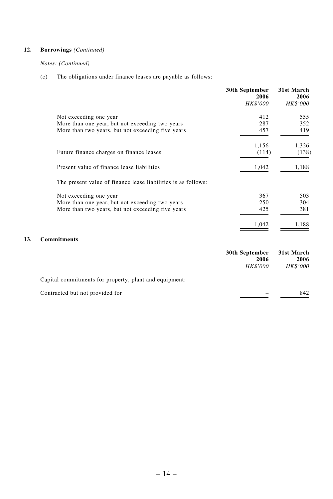## **12. Borrowings** *(Continued)*

#### *Notes: (Continued)*

(c) The obligations under finance leases are payable as follows:

|     |                                                               | 30th September<br>2006<br>HK\$'000 | 31st March<br>2006<br>HK\$'000 |
|-----|---------------------------------------------------------------|------------------------------------|--------------------------------|
|     | Not exceeding one year                                        | 412                                | 555                            |
|     | More than one year, but not exceeding two years               | 287                                | 352                            |
|     | More than two years, but not exceeding five years             | 457                                | 419                            |
|     |                                                               | 1,156                              | 1,326                          |
|     | Future finance charges on finance leases                      | (114)                              | (138)                          |
|     | Present value of finance lease liabilities                    | 1,042                              | 1,188                          |
|     | The present value of finance lease liabilities is as follows: |                                    |                                |
|     | Not exceeding one year                                        | 367                                | 503                            |
|     | More than one year, but not exceeding two years               | 250                                | 304                            |
|     | More than two years, but not exceeding five years             | 425                                | 381                            |
|     |                                                               | 1,042                              | 1,188                          |
| 13. | <b>Commitments</b>                                            |                                    |                                |
|     |                                                               | 30th September<br>2006             | 31st March<br>2006             |
|     |                                                               | <b>HK\$'000</b>                    | <i>HK\$'000</i>                |

| Capital commitments for property, plant and equipment: |     |
|--------------------------------------------------------|-----|
| Contracted but not provided for                        | 842 |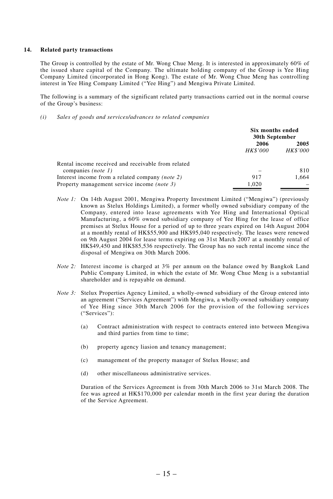#### **14. Related party transactions**

The Group is controlled by the estate of Mr. Wong Chue Meng. It is interested in approximately 60% of the issued share capital of the Company. The ultimate holding company of the Group is Yee Hing Company Limited (incorporated in Hong Kong). The estate of Mr. Wong Chue Meng has controlling interest in Yee Hing Company Limited ("Yee Hing") and Mengiwa Private Limited.

The following is a summary of the significant related party transactions carried out in the normal course of the Group's business:

*(i) Sales of goods and services/advances to related companies*

|                                                    | Six months ended<br>30th September |                 |  |
|----------------------------------------------------|------------------------------------|-----------------|--|
|                                                    | 2006                               | 2005            |  |
|                                                    | <b>HK\$'000</b>                    | <b>HK\$'000</b> |  |
| Rental income received and receivable from related |                                    |                 |  |
| companies (note 1)                                 |                                    | 810             |  |
| Interest income from a related company (note 2)    | 917                                | 1.664           |  |
| Property management service income (note 3)        | 1.020                              |                 |  |

- *Note 1:* On 14th August 2001, Mengiwa Property Investment Limited ("Mengiwa") (previously known as Stelux Holdings Limited), a former wholly owned subsidiary company of the Company, entered into lease agreements with Yee Hing and International Optical Manufacturing, a 60% owned subsidiary company of Yee Hing for the lease of office premises at Stelux House for a period of up to three years expired on 14th August 2004 at a monthly rental of HK\$55,900 and HK\$95,040 respectively. The leases were renewed on 9th August 2004 for lease terms expiring on 31st March 2007 at a monthly rental of HK\$49,450 and HK\$85,536 respectively. The Group has no such rental income since the disposal of Mengiwa on 30th March 2006.
- *Note 2:* Interest income is charged at 3% per annum on the balance owed by Bangkok Land Public Company Limited, in which the estate of Mr. Wong Chue Meng is a substantial shareholder and is repayable on demand.
- *Note 3:* Stelux Properties Agency Limited, a wholly-owned subsidiary of the Group entered into an agreement ("Services Agreement") with Mengiwa, a wholly-owned subsidiary company of Yee Hing since 30th March 2006 for the provision of the following services ("Services"):
	- (a) Contract administration with respect to contracts entered into between Mengiwa and third parties from time to time;
	- (b) property agency liasion and tenancy management;
	- (c) management of the property manager of Stelux House; and
	- (d) other miscellaneous administrative services.

Duration of the Services Agreement is from 30th March 2006 to 31st March 2008. The fee was agreed at HK\$170,000 per calendar month in the first year during the duration of the Service Agreement.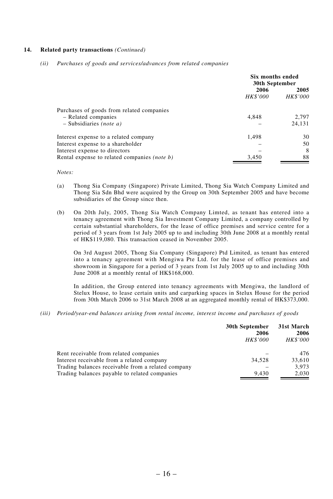#### **14. Related party transactions** *(Continued)*

*(ii) Purchases of goods and services/advances from related companies*

|                                                     | Six months ended<br>30th September                 |        |
|-----------------------------------------------------|----------------------------------------------------|--------|
|                                                     | 2006<br>2005<br><b>HK\$'000</b><br><b>HK\$'000</b> |        |
| Purchases of goods from related companies           |                                                    |        |
| - Related companies                                 | 4.848                                              | 2.797  |
| $-$ Subsidiaries <i>(note a)</i>                    |                                                    | 24,131 |
| Interest expense to a related company               | 1,498                                              | 30     |
| Interest expense to a shareholder                   |                                                    | 50     |
| Interest expense to directors                       |                                                    | 8      |
| Rental expense to related companies <i>(note b)</i> | 3.450                                              | 88     |

*Notes:*

- (a) Thong Sia Company (Singapore) Private Limited, Thong Sia Watch Company Limited and Thong Sia Sdn Bhd were acquired by the Group on 30th September 2005 and have become subsidiaries of the Group since then.
- (b) On 20th July, 2005, Thong Sia Watch Company Limted, as tenant has entered into a tenancy agreement with Thong Sia Investment Company Limited, a company controlled by certain substantial shareholders, for the lease of office premises and service centre for a period of 3 years from 1st July 2005 up to and including 30th June 2008 at a monthly rental of HK\$119,080. This transaction ceased in November 2005.

On 3rd August 2005, Thong Sia Company (Singapore) Ptd Limited, as tenant has entered into a tenancy agreement with Mengiwa Pte Ltd. for the lease of office premises and showroom in Singapore for a period of 3 years from 1st July 2005 up to and including 30th June 2008 at a monthly rental of HK\$168,000.

In addition, the Group entered into tenancy agreements with Mengiwa, the landlord of Stelux House, to lease certain units and carparking spaces in Stelux House for the period from 30th March 2006 to 31st March 2008 at an aggregated monthly rental of HK\$373,000.

*(iii) Period/year-end balances arising from rental income, interest income and purchases of goods*

|                                                    | 30th September<br>2006<br><b>HK\$'000</b> | 31st March<br>2006<br><b>HK\$'000</b> |
|----------------------------------------------------|-------------------------------------------|---------------------------------------|
| Rent receivable from related companies             |                                           | 476                                   |
| Interest receivable from a related company         | 34.528                                    | 33.610                                |
| Trading balances receivable from a related company |                                           | 3.973                                 |
| Trading balances payable to related companies      | 9.430                                     | 2,030                                 |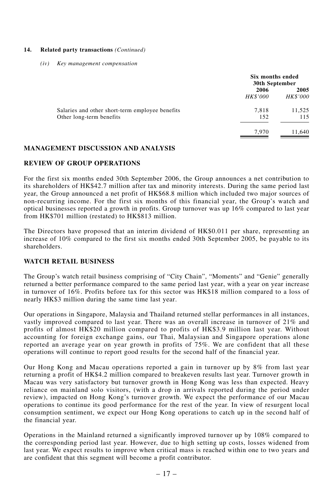#### **14. Related party transactions** *(Continued)*

*(iv) Key management compensation*

|                                                                             | Six months ended<br>30th September |                         |
|-----------------------------------------------------------------------------|------------------------------------|-------------------------|
|                                                                             | 2006<br><b>HK\$'000</b>            | 2005<br><b>HK\$'000</b> |
| Salaries and other short-term employee benefits<br>Other long-term benefits | 7,818<br>152                       | 11,525<br>115           |
|                                                                             | 7.970                              | 11.640                  |

# **MANAGEMENT DISCUSSION AND ANALYSIS**

# **REVIEW OF GROUP OPERATIONS**

For the first six months ended 30th September 2006, the Group announces a net contribution to its shareholders of HK\$42.7 million after tax and minority interests. During the same period last year, the Group announced a net profit of HK\$68.8 million which included two major sources of non-recurring income. For the first six months of this financial year, the Group's watch and optical businesses reported a growth in profits. Group turnover was up 16% compared to last year from HK\$701 million (restated) to HK\$813 million.

The Directors have proposed that an interim dividend of HK\$0.011 per share, representing an increase of 10% compared to the first six months ended 30th September 2005, be payable to its shareholders.

# **WATCH RETAIL BUSINESS**

The Group's watch retail business comprising of "City Chain", "Moments" and "Genie" generally returned a better performance compared to the same period last year, with a year on year increase in turnover of 16%. Profits before tax for this sector was HK\$18 million compared to a loss of nearly HK\$3 million during the same time last year.

Our operations in Singapore, Malaysia and Thailand returned stellar performances in all instances, vastly improved compared to last year. There was an overall increase in turnover of 21% and profits of almost HK\$20 million compared to profits of HK\$3.9 million last year. Without accounting for foreign exchange gains, our Thai, Malaysian and Singapore operations alone reported an average year on year growth in profits of 75%. We are confident that all these operations will continue to report good results for the second half of the financial year.

Our Hong Kong and Macau operations reported a gain in turnover up by 8% from last year returning a profit of HK\$4.2 million compared to breakeven results last year. Turnover growth in Macau was very satisfactory but turnover growth in Hong Kong was less than expected. Heavy reliance on mainland solo visitors, (with a drop in arrivals reported during the period under review), impacted on Hong Kong's turnover growth. We expect the performance of our Macau operations to continue its good performance for the rest of the year. In view of resurgent local consumption sentiment, we expect our Hong Kong operations to catch up in the second half of the financial year.

Operations in the Mainland returned a significantly improved turnover up by 108% compared to the corresponding period last year. However, due to high setting up costs, losses widened from last year. We expect results to improve when critical mass is reached within one to two years and are confident that this segment will become a profit contributor.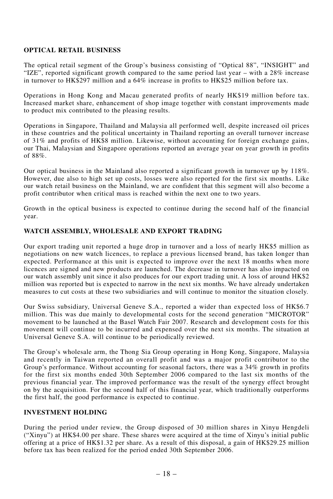# **OPTICAL RETAIL BUSINESS**

The optical retail segment of the Group's business consisting of "Optical 88", "INSIGHT" and "IZE", reported significant growth compared to the same period last year – with a 28% increase in turnover to HK\$297 million and a 64% increase in profits to HK\$25 million before tax.

Operations in Hong Kong and Macau generated profits of nearly HK\$19 million before tax. Increased market share, enhancement of shop image together with constant improvements made to product mix contributed to the pleasing results.

Operations in Singapore, Thailand and Malaysia all performed well, despite increased oil prices in these countries and the political uncertainty in Thailand reporting an overall turnover increase of 31% and profits of HK\$8 million. Likewise, without accounting for foreign exchange gains, our Thai, Malaysian and Singapore operations reported an average year on year growth in profits of 88%.

Our optical business in the Mainland also reported a significant growth in turnover up by 118%. However, due also to high set up costs, losses were also reported for the first six months. Like our watch retail business on the Mainland, we are confident that this segment will also become a profit contributor when critical mass is reached within the next one to two years.

Growth in the optical business is expected to continue during the second half of the financial year.

# **WATCH ASSEMBLY, WHOLESALE AND EXPORT TRADING**

Our export trading unit reported a huge drop in turnover and a loss of nearly HK\$5 million as negotiations on new watch licences, to replace a previous licensed brand, has taken longer than expected. Performance at this unit is expected to improve over the next 18 months when more licences are signed and new products are launched. The decrease in turnover has also impacted on our watch assembly unit since it also produces for our export trading unit. A loss of around HK\$2 million was reported but is expected to narrow in the next six months. We have already undertaken measures to cut costs at these two subsidiaries and will continue to monitor the situation closely.

Our Swiss subsidiary, Universal Geneve S.A., reported a wider than expected loss of HK\$6.7 million. This was due mainly to developmental costs for the second generation "MICROTOR" movement to be launched at the Basel Watch Fair 2007. Research and development costs for this movement will continue to be incurred and expensed over the next six months. The situation at Universal Geneve S.A. will continue to be periodically reviewed.

The Group's wholesale arm, the Thong Sia Group operating in Hong Kong, Singapore, Malaysia and recently in Taiwan reported an overall profit and was a major profit contributor to the Group's performance. Without accounting for seasonal factors, there was a 34% growth in profits for the first six months ended 30th September 2006 compared to the last six months of the previous financial year. The improved performance was the result of the synergy effect brought on by the acquisition. For the second half of this financial year, which traditionally outperforms the first half, the good performance is expected to continue.

# **INVESTMENT HOLDING**

During the period under review, the Group disposed of 30 million shares in Xinyu Hengdeli ("Xinyu") at HK\$4.00 per share. These shares were acquired at the time of Xinyu's initial public offering at a price of HK\$1.32 per share. As a result of this disposal, a gain of HK\$29.25 million before tax has been realized for the period ended 30th September 2006.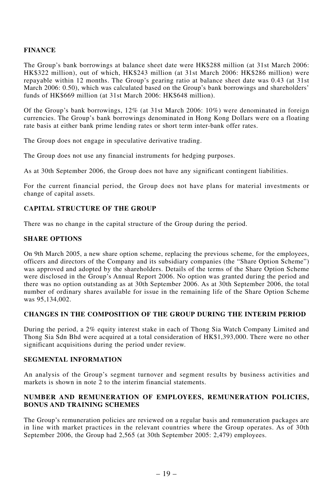# **FINANCE**

The Group's bank borrowings at balance sheet date were HK\$288 million (at 31st March 2006: HK\$322 million), out of which, HK\$243 million (at 31st March 2006: HK\$286 million) were repayable within 12 months. The Group's gearing ratio at balance sheet date was 0.43 (at 31st March 2006: 0.50), which was calculated based on the Group's bank borrowings and shareholders' funds of HK\$669 million (at 31st March 2006: HK\$648 million).

Of the Group's bank borrowings, 12% (at 31st March 2006: 10%) were denominated in foreign currencies. The Group's bank borrowings denominated in Hong Kong Dollars were on a floating rate basis at either bank prime lending rates or short term inter-bank offer rates.

The Group does not engage in speculative derivative trading.

The Group does not use any financial instruments for hedging purposes.

As at 30th September 2006, the Group does not have any significant contingent liabilities.

For the current financial period, the Group does not have plans for material investments or change of capital assets.

# **CAPITAL STRUCTURE OF THE GROUP**

There was no change in the capital structure of the Group during the period.

# **SHARE OPTIONS**

On 9th March 2005, a new share option scheme, replacing the previous scheme, for the employees, officers and directors of the Company and its subsidiary companies (the "Share Option Scheme") was approved and adopted by the shareholders. Details of the terms of the Share Option Scheme were disclosed in the Group's Annual Report 2006. No option was granted during the period and there was no option outstanding as at 30th September 2006. As at 30th September 2006, the total number of ordinary shares available for issue in the remaining life of the Share Option Scheme was 95,134,002.

# **CHANGES IN THE COMPOSITION OF THE GROUP DURING THE INTERIM PERIOD**

During the period, a 2% equity interest stake in each of Thong Sia Watch Company Limited and Thong Sia Sdn Bhd were acquired at a total consideration of HK\$1,393,000. There were no other significant acquisitions during the period under review.

# **SEGMENTAL INFORMATION**

An analysis of the Group's segment turnover and segment results by business activities and markets is shown in note 2 to the interim financial statements.

#### **NUMBER AND REMUNERATION OF EMPLOYEES, REMUNERATION POLICIES, BONUS AND TRAINING SCHEMES**

The Group's remuneration policies are reviewed on a regular basis and remuneration packages are in line with market practices in the relevant countries where the Group operates. As of 30th September 2006, the Group had 2,565 (at 30th September 2005: 2,479) employees.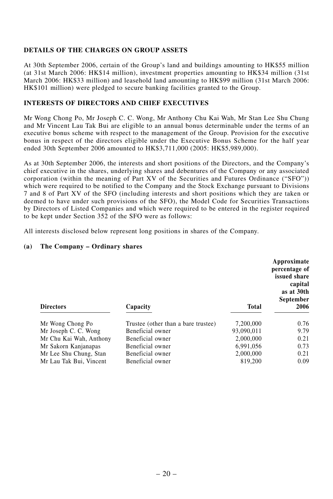# **DETAILS OF THE CHARGES ON GROUP ASSETS**

At 30th September 2006, certain of the Group's land and buildings amounting to HK\$55 million (at 31st March 2006: HK\$14 million), investment properties amounting to HK\$34 million (31st March 2006: HK\$33 million) and leasehold land amounting to HK\$99 million (31st March 2006: HK\$101 million) were pledged to secure banking facilities granted to the Group.

# **INTERESTS OF DIRECTORS AND CHIEF EXECUTIVES**

Mr Wong Chong Po, Mr Joseph C. C. Wong, Mr Anthony Chu Kai Wah, Mr Stan Lee Shu Chung and Mr Vincent Lau Tak Bui are eligible to an annual bonus determinable under the terms of an executive bonus scheme with respect to the management of the Group. Provision for the executive bonus in respect of the directors eligible under the Executive Bonus Scheme for the half year ended 30th September 2006 amounted to HK\$3,711,000 (2005: HK\$5,989,000).

As at 30th September 2006, the interests and short positions of the Directors, and the Company's chief executive in the shares, underlying shares and debentures of the Company or any associated corporation (within the meaning of Part XV of the Securities and Futures Ordinance ("SFO")) which were required to be notified to the Company and the Stock Exchange pursuant to Divisions 7 and 8 of Part XV of the SFO (including interests and short positions which they are taken or deemed to have under such provisions of the SFO), the Model Code for Securities Transactions by Directors of Listed Companies and which were required to be entered in the register required to be kept under Section 352 of the SFO were as follows:

All interests disclosed below represent long positions in shares of the Company.

# **(a) The Company – Ordinary shares**

| <b>Directors</b>        | Capacity                            | <b>Total</b> | September<br>2006 |  |
|-------------------------|-------------------------------------|--------------|-------------------|--|
| Mr Wong Chong Po        | Trustee (other than a bare trustee) | 7.200,000    | 0.76              |  |
| Mr Joseph C. C. Wong    | Beneficial owner                    | 93.090.011   | 9.79              |  |
| Mr Chu Kai Wah, Anthony | Beneficial owner                    | 2.000,000    | 0.21              |  |
| Mr Sakorn Kanjanapas    | Beneficial owner                    | 6.991.056    | 0.73              |  |
| Mr Lee Shu Chung, Stan  | Beneficial owner                    | 2.000,000    | 0.21              |  |
| Mr Lau Tak Bui, Vincent | Beneficial owner                    | 819,200      | 0.09              |  |

**Approximate percentage of issued share capital as at 30th**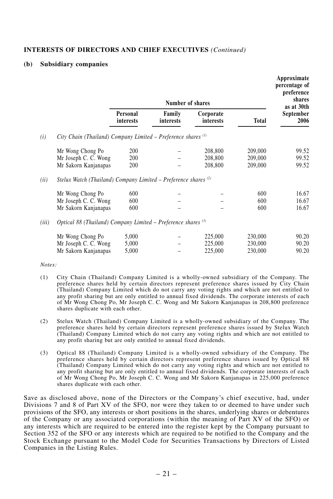# **INTERESTS OF DIRECTORS AND CHIEF EXECUTIVES** *(Continued)*

#### **(b) Subsidiary companies**

|       | Number of shares                                                  |                       |                     | Approximate<br>percentage of<br>preference<br>shares |                    |                                 |
|-------|-------------------------------------------------------------------|-----------------------|---------------------|------------------------------------------------------|--------------------|---------------------------------|
|       |                                                                   | Personal<br>interests | Family<br>interests | Corporate<br>interests                               | <b>Total</b>       | as at 30th<br>September<br>2006 |
| (i)   | City Chain (Thailand) Company Limited – Preference shares $(1)$   |                       |                     |                                                      |                    |                                 |
|       | Mr Wong Chong Po                                                  | 200                   |                     | 208,800                                              | 209,000            | 99.52                           |
|       | Mr Joseph C. C. Wong<br>Mr Sakorn Kanjanapas                      | 200<br>200            |                     | 208,800<br>208,800                                   | 209,000<br>209,000 | 99.52<br>99.52                  |
| (ii)  | Stelux Watch (Thailand) Company Limited - Preference shares $(2)$ |                       |                     |                                                      |                    |                                 |
|       | Mr Wong Chong Po                                                  | 600                   |                     |                                                      | 600                | 16.67                           |
|       | Mr Joseph C. C. Wong                                              | 600                   |                     |                                                      | 600                | 16.67                           |
|       | Mr Sakorn Kanjanapas                                              | 600                   |                     |                                                      | 600                | 16.67                           |
| (iii) | Optical 88 (Thailand) Company Limited - Preference shares $(3)$   |                       |                     |                                                      |                    |                                 |
|       | Mr Wong Chong Po                                                  | 5,000                 |                     | 225,000                                              | 230,000            | 90.20                           |
|       | Mr Joseph C. C. Wong                                              | 5,000                 |                     | 225,000                                              | 230,000            | 90.20                           |
|       | Mr Sakorn Kanjanapas                                              | 5,000                 |                     | 225,000                                              | 230,000            | 90.20                           |

*Notes:*

- (1) City Chain (Thailand) Company Limited is a wholly-owned subsidiary of the Company. The preference shares held by certain directors represent preference shares issued by City Chain (Thailand) Company Limited which do not carry any voting rights and which are not entitled to any profit sharing but are only entitled to annual fixed dividends. The corporate interests of each of Mr Wong Chong Po, Mr Joseph C. C. Wong and Mr Sakorn Kanjanapas in 208,800 preference shares duplicate with each other.
- (2) Stelux Watch (Thailand) Company Limited is a wholly-owned subsidiary of the Company. The preference shares held by certain directors represent preference shares issued by Stelux Watch (Thailand) Company Limited which do not carry any voting rights and which are not entitled to any profit sharing but are only entitled to annual fixed dividends.
- (3) Optical 88 (Thailand) Company Limited is a wholly-owned subsidiary of the Company. The preference shares held by certain directors represent preference shares issued by Optical 88 (Thailand) Company Limited which do not carry any voting rights and which are not entitled to any profit sharing but are only entitled to annual fixed dividends. The corporate interests of each of Mr Wong Chong Po, Mr Joseph C. C. Wong and Mr Sakorn Kanjanapas in 225,000 preference shares duplicate with each other.

Save as disclosed above, none of the Directors or the Company's chief executive, had, under Divisions 7 and 8 of Part XV of the SFO, nor were they taken to or deemed to have under such provisions of the SFO, any interests or short positions in the shares, underlying shares or debentures of the Company or any associated corporations (within the meaning of Part XV of the SFO) or any interests which are required to be entered into the register kept by the Company pursuant to Section 352 of the SFO or any interests which are required to be notified to the Company and the Stock Exchange pursuant to the Model Code for Securities Transactions by Directors of Listed Companies in the Listing Rules.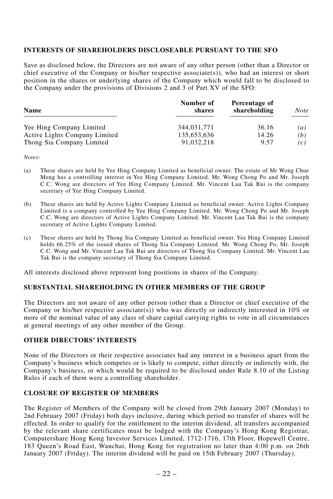# **INTERESTS OF SHAREHOLDERS DISCLOSEABLE PURSUANT TO THE SFO**

Save as disclosed below, the Directors are not aware of any other person (other than a Director or chief executive of the Company or his/her respective associate(s)), who had an interest or short position in the shares or underlying shares of the Company which would fall to be disclosed to the Company under the provisions of Divisions 2 and 3 of Part XV of the SFO:

| <b>Name</b>                   | Number of<br>shares | Percentage of<br>shareholding | Note |
|-------------------------------|---------------------|-------------------------------|------|
| Yee Hing Company Limited      | 344,031,771         | 36.16                         | (a)  |
| Active Lights Company Limited | 135,653,636         | 14.26                         | (b)  |
| Thong Sia Company Limited     | 91.032.218          | 9.57                          | (c)  |

*Notes:*

- (a) These shares are held by Yee Hing Company Limited as beneficial owner. The estate of Mr Wong Chue Meng has a controlling interest in Yee Hing Company Limited. Mr. Wong Chong Po and Mr. Joseph C.C. Wong are directors of Yee Hing Company Limited. Mr. Vincent Lau Tak Bui is the company secretary of Yee Hing Company Limited.
- (b) These shares are held by Active Lights Company Limited as beneficial owner. Active Lights Company Limited is a company controlled by Yee Hing Company Limited. Mr. Wong Chong Po and Mr. Joseph C.C. Wong are directors of Active Lights Company Limited. Mr. Vincent Lau Tak Bui is the company secretary of Active Lights Company Limited.
- (c) These shares are held by Thong Sia Company Limited as beneficial owner. Yee Hing Company Limited holds 66.25% of the issued shares of Thong Sia Company Limited. Mr. Wong Chong Po, Mr. Joseph C.C. Wong and Mr. Vincent Lau Tak Bui are directors of Thong Sia Company Limited. Mr. Vincent Lau Tak Bui is the company secretary of Thong Sia Company Limited.

All interests disclosed above represent long positions in shares of the Company.

#### **SUBSTANTIAL SHAREHOLDING IN OTHER MEMBERS OF THE GROUP**

The Directors are not aware of any other person (other than a Director or chief executive of the Company or his/her respective associate(s)) who was directly or indirectly interested in  $10\%$  or more of the nominal value of any class of share capital carrying rights to vote in all circumstances at general meetings of any other member of the Group.

#### **OTHER DIRECTORS' INTERESTS**

None of the Directors or their respective associates had any interest in a business apart from the Company's business which competes or is likely to compete, either directly or indirectly with, the Company's business, or which would be required to be disclosed under Rule 8.10 of the Listing Rules if each of them were a controlling shareholder.

# **CLOSURE OF REGISTER OF MEMBERS**

The Register of Members of the Company will be closed from 29th January 2007 (Monday) to 2nd February 2007 (Friday) both days inclusive, during which period no transfer of shares will be effected. In order to qualify for the entitlement to the interim dividend, all transfers accompanied by the relevant share certificates must be lodged with the Company's Hong Kong Registrar, Computershare Hong Kong Investor Services Limited, 1712-1716, 17th Floor, Hopewell Centre, 183 Queen's Road East, Wanchai, Hong Kong for registration no later than 4:00 p.m. on 26th January 2007 (Friday). The interim dividend will be paid on 15th February 2007 (Thursday).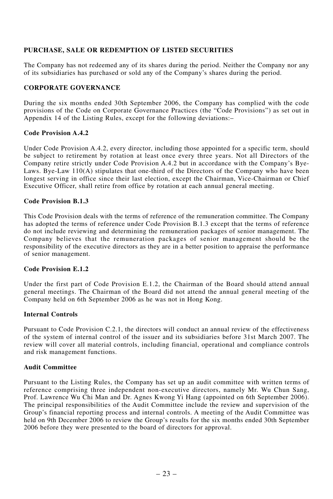# **PURCHASE, SALE OR REDEMPTION OF LISTED SECURITIES**

The Company has not redeemed any of its shares during the period. Neither the Company nor any of its subsidiaries has purchased or sold any of the Company's shares during the period.

# **CORPORATE GOVERNANCE**

During the six months ended 30th September 2006, the Company has complied with the code provisions of the Code on Corporate Governance Practices (the "Code Provisions") as set out in Appendix 14 of the Listing Rules, except for the following deviations:–

# **Code Provision A.4.2**

Under Code Provision A.4.2, every director, including those appointed for a specific term, should be subject to retirement by rotation at least once every three years. Not all Directors of the Company retire strictly under Code Provision A.4.2 but in accordance with the Company's Bye-Laws. Bye-Law  $110(A)$  stipulates that one-third of the Directors of the Company who have been longest serving in office since their last election, except the Chairman, Vice-Chairman or Chief Executive Officer, shall retire from office by rotation at each annual general meeting.

# **Code Provision B.1.3**

This Code Provision deals with the terms of reference of the remuneration committee. The Company has adopted the terms of reference under Code Provision B.1.3 except that the terms of reference do not include reviewing and determining the remuneration packages of senior management. The Company believes that the remuneration packages of senior management should be the responsibility of the executive directors as they are in a better position to appraise the performance of senior management.

# **Code Provision E.1.2**

Under the first part of Code Provision E.1.2, the Chairman of the Board should attend annual general meetings. The Chairman of the Board did not attend the annual general meeting of the Company held on 6th September 2006 as he was not in Hong Kong.

# **Internal Controls**

Pursuant to Code Provision C.2.1, the directors will conduct an annual review of the effectiveness of the system of internal control of the issuer and its subsidiaries before 31st March 2007. The review will cover all material controls, including financial, operational and compliance controls and risk management functions.

# **Audit Committee**

Pursuant to the Listing Rules, the Company has set up an audit committee with written terms of reference comprising three independent non-executive directors, namely Mr. Wu Chun Sang, Prof. Lawrence Wu Chi Man and Dr. Agnes Kwong Yi Hang (appointed on 6th September 2006). The principal responsibilities of the Audit Committee include the review and supervision of the Group's financial reporting process and internal controls. A meeting of the Audit Committee was held on 9th December 2006 to review the Group's results for the six months ended 30th September 2006 before they were presented to the board of directors for approval.